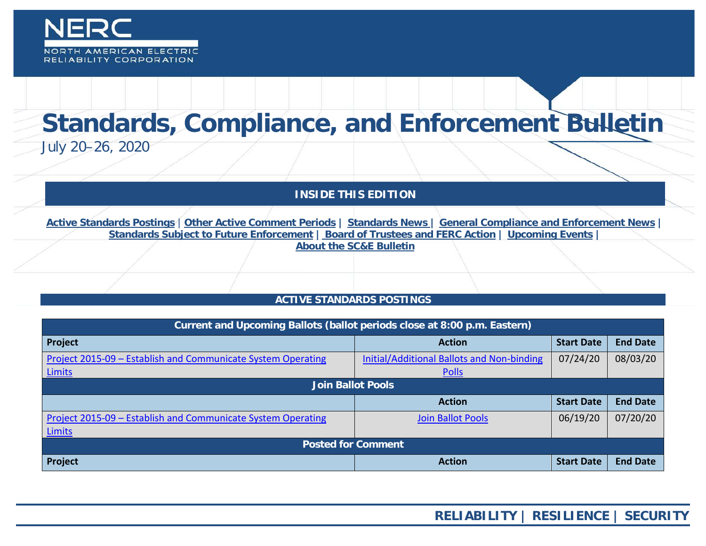

# **Standards, Compliance, and Enforcement Bulletin**

July 20–26, 2020

**INSIDE THIS EDITION**

**Active Standards Postings** | **[Other Active Comment Periods](#page-1-0) | [Standards News](#page-2-0) | [General Compliance and Enforcement News](#page-2-1) | [Standards Subject to Future Enforcement](#page-3-0) | Board of Trustees and FERC Action | Upcoming Events | About the SC&E Bulletin**

# **ACTIVE STANDARDS POSTINGS**

| Current and Upcoming Ballots (ballot periods close at 8:00 p.m. Eastern) |                                                   |                   |                 |  |
|--------------------------------------------------------------------------|---------------------------------------------------|-------------------|-----------------|--|
| Project                                                                  | <b>Action</b>                                     | <b>Start Date</b> | <b>End Date</b> |  |
| Project 2015-09 - Establish and Communicate System Operating             | <b>Initial/Additional Ballots and Non-binding</b> | 07/24/20          | 08/03/20        |  |
| Limits                                                                   | <b>Polls</b>                                      |                   |                 |  |
| Join Ballot Pools                                                        |                                                   |                   |                 |  |
|                                                                          | <b>Action</b>                                     | <b>Start Date</b> | <b>End Date</b> |  |
| Project 2015-09 - Establish and Communicate System Operating             | <b>Join Ballot Pools</b>                          | 06/19/20          | 07/20/20        |  |
| <b>Limits</b>                                                            |                                                   |                   |                 |  |
| <b>Posted for Comment</b>                                                |                                                   |                   |                 |  |
| Project                                                                  | <b>Action</b>                                     | <b>Start Date</b> | <b>End Date</b> |  |

**RELIABILITY | RESILIENCE | SECURITY**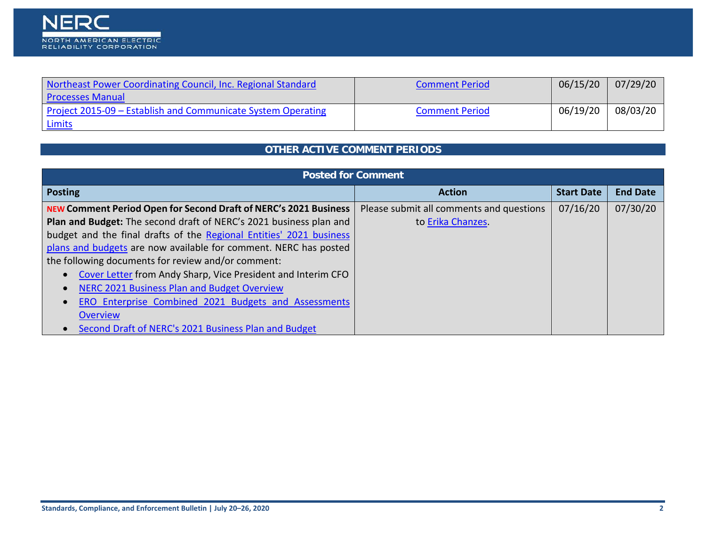| Northeast Power Coordinating Council, Inc. Regional Standard | <b>Comment Period</b> | 06/15/20 | 07/29/20 |
|--------------------------------------------------------------|-----------------------|----------|----------|
| <b>Processes Manual</b>                                      |                       |          |          |
| Project 2015-09 – Establish and Communicate System Operating | <b>Comment Period</b> | 06/19/20 | 08/03/20 |
| <u>Limits</u>                                                |                       |          |          |

# **OTHER ACTIVE COMMENT PERIODS**

<span id="page-1-0"></span>

| <b>Posted for Comment</b>                                               |                                          |                   |                 |  |  |
|-------------------------------------------------------------------------|------------------------------------------|-------------------|-----------------|--|--|
| <b>Posting</b>                                                          | <b>Action</b>                            | <b>Start Date</b> | <b>End Date</b> |  |  |
| <b>NEW Comment Period Open for Second Draft of NERC's 2021 Business</b> | Please submit all comments and questions | 07/16/20          | 07/30/20        |  |  |
| Plan and Budget: The second draft of NERC's 2021 business plan and      | to Erika Chanzes.                        |                   |                 |  |  |
| budget and the final drafts of the Regional Entities' 2021 business     |                                          |                   |                 |  |  |
| plans and budgets are now available for comment. NERC has posted        |                                          |                   |                 |  |  |
| the following documents for review and/or comment:                      |                                          |                   |                 |  |  |
| Cover Letter from Andy Sharp, Vice President and Interim CFO            |                                          |                   |                 |  |  |
| NERC 2021 Business Plan and Budget Overview                             |                                          |                   |                 |  |  |
| ERO Enterprise Combined 2021 Budgets and Assessments                    |                                          |                   |                 |  |  |
| Overview                                                                |                                          |                   |                 |  |  |
| Second Draft of NERC's 2021 Business Plan and Budget                    |                                          |                   |                 |  |  |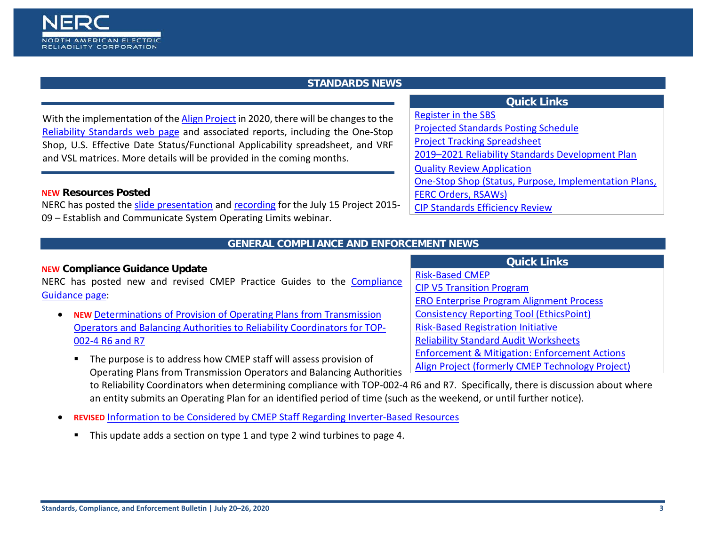<span id="page-2-0"></span>With the implementation of th[e Align Project](https://auth.internal.nerc.com/ResourceCenter/Pages/CMEPTechnologyProject.aspx) in 2020, there will be changes to the [Reliability Standards web page](https://www.nerc.com/pa/Stand/Pages/default.aspx) and associated reports, including the One-Stop Shop, U.S. Effective Date Status/Functional Applicability spreadsheet, and VRF and VSL matrices. More details will be provided in the coming months.

#### **NEW Resources Posted**

NORTH AMERICAN ELECTRIC RELIABILITY CORPORATION

NERC has posted the [slide presentation](https://www.nerc.com/pa/Stand/WebinarLibrary/2015-09%20Industry%20Webinar_20200715.pdf) and [recording](https://nerc.webex.com/nerc/lsr.php?RCID=14bdc3af9d1b1f142faf3654713f2166) for the July 15 Project 2015- 09 – Establish and Communicate System Operating Limits webinar.

#### **GENERAL COMPLIANCE AND ENFORCEMENT NEWS**

## <span id="page-2-1"></span>**NEW Compliance Guidance Update**

NERC has posted new and revised CMEP Practice Guides to the [Compliance](https://www.nerc.com/pa/comp/guidance/Pages/default.aspx)  [Guidance page:](https://www.nerc.com/pa/comp/guidance/Pages/default.aspx)

- **NEW** [Determinations of Provision of Operating Plans from Transmission](https://www.nerc.com/_layouts/images/icpdf.png)  [Operators and Balancing Authorities to Reliability Coordinators for TOP-](https://www.nerc.com/_layouts/images/icpdf.png)[002-4 R6 and R7](https://www.nerc.com/_layouts/images/icpdf.png)
	- **The purpose is to address how CMEP staff will assess provision of** Operating Plans from Transmission Operators and Balancing Authorities to Reliability Coordinators when determining compliance with TOP-002-4 R6 and R7. Specifically, there is discussion about where an entity submits an Operating Plan for an identified period of time (such as the weekend, or until further notice).
- **REVISED** [Information to be Considered by CMEP Staff Regarding Inverter-Based Resources](https://www.nerc.com/pa/comp/guidance/CMEPPracticeGuidesDL/ERO%20Enterprise%20CMEP%20Practice%20Guide_Regarding%20Inverter-Based%20Resources.pdf)
	- This update adds a section on type 1 and type 2 wind turbines to page 4.

# **Quick Links**

- 
- [Projected Standards Posting Schedule](http://www.nerc.com/pa/Stand/Documents/Projected_Posting_Schedule.pdf)
- [Project Tracking Spreadsheet](https://www.nerc.com/comm/SC/Project%20Management%20and%20Oversight%20Subcommittee%20DL/Project%20Tracking%20Spreadsheet.xlsx)
- [2019–2021 Reliability Standards Development Plan](https://www.nerc.com/pa/Stand/Standards%20Development%20Plan%20Library/2019-2021_Final_RSDP_102018.pdf)
- [Quality Review Application](https://www.nerc.net/nercsurvey/Survey.aspx?s=bd89c1a0a0da443bbcc2416f868de383)
- [One-Stop Shop \(Status, Purpose, Implementation Plans,](https://www.nerc.com/pa/Stand/Standard%20Purpose%20Statement%20DL/US_Standard_One-Stop-Shop.xlsx)
- [FERC Orders, RSAWs\)](https://www.nerc.com/pa/Stand/Standard%20Purpose%20Statement%20DL/US_Standard_One-Stop-Shop.xlsx)

[Risk-Based CMEP](http://www.nerc.com/pa/comp/Pages/Reliability-Assurance-Initiative.aspx) 

[Register in the SBS](https://sbs.nerc.net/)

[CIP Standards Efficiency Review](https://www.nerc.com/pa/Stand/Pages/CIP-Standards-Efficiency-Review.aspx)

# **Quick Links**

- [CIP V5 Transition Program](http://www.nerc.com/pa/CI/Pages/Transition-Program.aspx)
- [ERO Enterprise Program Alignment Process](http://www.nerc.com/pa/comp/Pages/EROEnterProAlign.aspx)
- [Consistency Reporting Tool \(EthicsPoint\)](https://secure.ethicspoint.com/domain/media/en/gui/51749/index.html)
- [Risk-Based Registration Initiative](http://www.nerc.com/pa/comp/CAC/Pages/Risk-Based%20Registration.aspx)
- [Reliability Standard Audit Worksheets](http://www.nerc.com/pa/comp/Pages/Reliability-Standard-Audit-Worksheets-(RSAWs).aspx)
- [Enforcement & Mitigation: Enforcement Actions](http://www.nerc.com/pa/comp/CE/Pages/Enforcement-and-Mitigation.aspx)
- [Align Project \(formerly CMEP Technology Project\)](https://www.nerc.com/ResourceCenter/Pages/CMEPTechnologyProject.aspx)

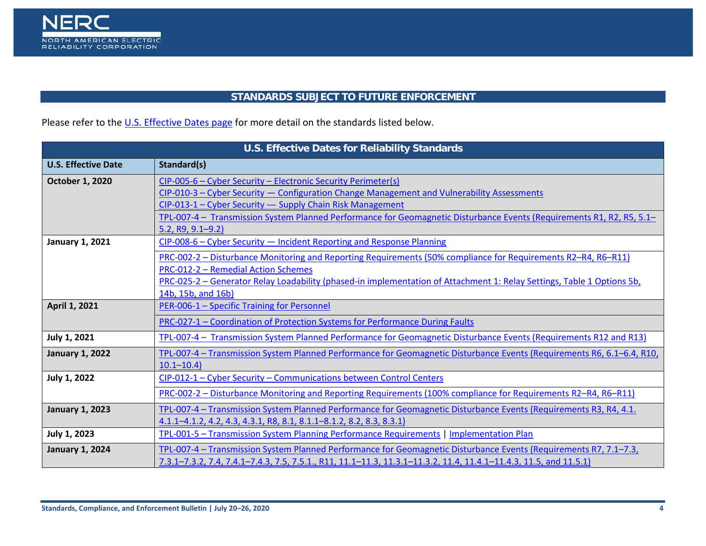

# **STANDARDS SUBJECT TO FUTURE ENFORCEMENT**

<span id="page-3-0"></span>Please refer to th[e U.S. Effective Dates page](http://www.nerc.net/standardsreports/standardssummary.aspx) for more detail on the standards listed below.

| U.S. Effective Dates for Reliability Standards |                                                                                                                                                                                                                                                                                                                                                                           |  |
|------------------------------------------------|---------------------------------------------------------------------------------------------------------------------------------------------------------------------------------------------------------------------------------------------------------------------------------------------------------------------------------------------------------------------------|--|
| <b>U.S. Effective Date</b>                     | Standard(s)                                                                                                                                                                                                                                                                                                                                                               |  |
| <b>October 1, 2020</b>                         | CIP-005-6 - Cyber Security - Electronic Security Perimeter(s)<br>CIP-010-3 - Cyber Security - Configuration Change Management and Vulnerability Assessments<br>CIP-013-1 - Cyber Security - Supply Chain Risk Management<br>TPL-007-4 - Transmission System Planned Performance for Geomagnetic Disturbance Events (Requirements R1, R2, R5, 5.1-<br>$5.2, R9, 9.1 - 9.2$ |  |
| <b>January 1, 2021</b>                         | CIP-008-6 - Cyber Security - Incident Reporting and Response Planning<br>PRC-002-2 – Disturbance Monitoring and Reporting Requirements (50% compliance for Requirements R2-R4, R6-R11)<br>PRC-012-2 - Remedial Action Schemes<br>PRC-025-2 - Generator Relay Loadability (phased-in implementation of Attachment 1: Relay Settings, Table 1 Options 5b,                   |  |
| April 1, 2021                                  | 14b, 15b, and 16b)<br>PER-006-1 - Specific Training for Personnel                                                                                                                                                                                                                                                                                                         |  |
|                                                | PRC-027-1 - Coordination of Protection Systems for Performance During Faults                                                                                                                                                                                                                                                                                              |  |
| <b>July 1, 2021</b>                            | TPL-007-4 - Transmission System Planned Performance for Geomagnetic Disturbance Events (Requirements R12 and R13)                                                                                                                                                                                                                                                         |  |
| <b>January 1, 2022</b>                         | TPL-007-4 - Transmission System Planned Performance for Geomagnetic Disturbance Events (Requirements R6, 6.1-6.4, R10,<br>$10.1 - 10.4$                                                                                                                                                                                                                                   |  |
| <b>July 1, 2022</b>                            | CIP-012-1 - Cyber Security - Communications between Control Centers                                                                                                                                                                                                                                                                                                       |  |
|                                                | PRC-002-2 – Disturbance Monitoring and Reporting Requirements (100% compliance for Requirements R2-R4, R6-R11)                                                                                                                                                                                                                                                            |  |
| <b>January 1, 2023</b>                         | TPL-007-4 - Transmission System Planned Performance for Geomagnetic Disturbance Events (Requirements R3, R4, 4.1.<br>4.1.1–4.1.2, 4.2, 4.3, 4.3.1, R8, 8.1, 8.1.1–8.1.2, 8.2, 8.3, 8.3.1)                                                                                                                                                                                 |  |
| <b>July 1, 2023</b>                            | TPL-001-5 - Transmission System Planning Performance Requirements   Implementation Plan                                                                                                                                                                                                                                                                                   |  |
| <b>January 1, 2024</b>                         | TPL-007-4 – Transmission System Planned Performance for Geomagnetic Disturbance Events (Requirements R7, 7.1–7.3,<br>7.3.1–7.3.2, 7.4, 7.4.1–7.4.3, 7.5, 7.5.1., R11, 11.1–11.3, 11.3.1–11.3.2, 11.4, 11.4.1–11.4.3, 11.5, and 11.5.1)                                                                                                                                    |  |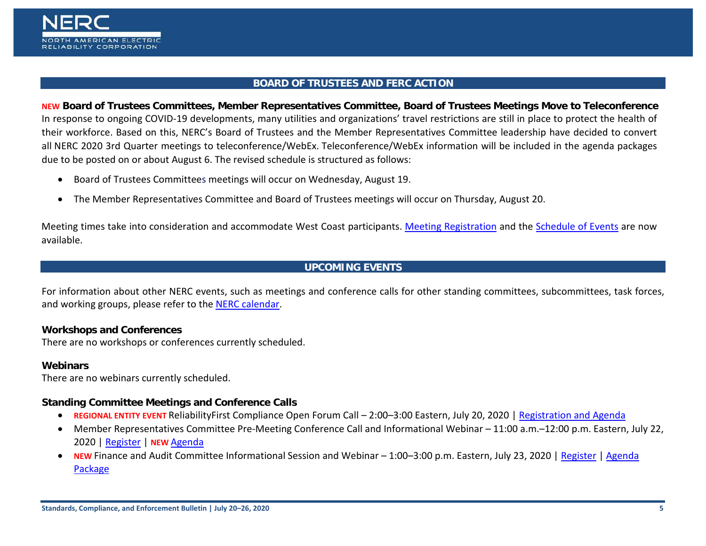

#### **BOARD OF TRUSTEES AND FERC ACTION**

**NEW Board of Trustees Committees, Member Representatives Committee, Board of Trustees Meetings Move to Teleconference** In response to ongoing COVID-19 developments, many utilities and organizations' travel restrictions are still in place to protect the health of their workforce. Based on this, NERC's Board of Trustees and the Member Representatives Committee leadership have decided to convert all NERC 2020 3rd Quarter meetings to teleconference/WebEx. Teleconference/WebEx information will be included in the agenda packages due to be posted on or about August 6. The revised schedule is structured as follows:

- Board of Trustees Committees meetings will occur on Wednesday, August 19.
- The Member Representatives Committee and Board of Trustees meetings will occur on Thursday, August 20.

Meeting times take into consideration and accommodate West Coast participants. [Meeting Registration](https://www.eventbrite.com/e/nerc-board-of-trustees-and-member-representatives-committee-meetings-registration-113493449964) and the [Schedule of Events](https://www.nerc.com/gov/bot/Agenda%20highlights%20and%20Mintues%202013/Schedule%20of%20Events--PUBLIC--August%20%202020_WEBEX.pdf) are now available.

# **UPCOMING EVENTS**

For information about other NERC events, such as meetings and conference calls for other standing committees, subcommittees, task forces, and working groups, please refer to the [NERC calendar.](http://www.nerc.com/Pages/Calendar.aspx)

# **Workshops and Conferences**

There are no workshops or conferences currently scheduled.

#### **Webinars**

There are no webinars currently scheduled.

#### **Standing Committee Meetings and Conference Calls**

- **REGIONAL ENTITY EVENT** ReliabilityFirst Compliance Open Forum Call 2:00–3:00 Eastern, July 20, 2020 | [Registration and Agenda](https://rfirst.org/eventdetail?EventId=153)
- Member Representatives Committee Pre-Meeting Conference Call and Informational Webinar 11:00 a.m.–12:00 p.m. Eastern, July 22, 2020 | [Register](https://nerc.webex.com/nerc/onstage/g.php?MTID=e439fad2723d4b259fb8e2fc85c27deff) | **NEW** [Agenda](https://www.nerc.com/gov/bot/MRC/Agenda%20Highlights%20nad%20Minutes%202013/MRC%20Informational%20Session%20Conference%20Call%20and%20Webinar%20Agenda%20Package%20-%20July%2022,%202020.pdf)
- **NEW** Finance and Audit Committee Informational Session and Webinar 1:00–3:00 p.m. Eastern, July 23, 2020 | [Register](https://nerc.webex.com/mw3300/mywebex/default.do?nomenu=true&siteurl=nerc&service=6&rnd=0.6322681303011775&main_url=https%3A%2F%2Fnerc.webex.com%2Fec3300%2Feventcenter%2Fevent%2FeventAction.do%3FtheAction%3Ddetail%26%26%26EMK%3D4832534b0000000425c3094616b07ced255334debd941d336de172ab174b2f557c8c9b6551d78b34%26siteurl%3Dnerc%26confViewID%3D162585207933772558%26encryptTicket%3DSDJTSwAAAASel1JboiUYtyF0uvTrHK7vt0Pa2dUfoBWqEKBsy7HZPQ2%26) | [Agenda](https://www.nerc.com/gov/bot/FINANCE/2013%20Finance%20and%20Audit%20Committee%20DL/FAC%20Open%20Meeting-%20July%2023%202020_Attendees_ONLY.pdf)  [Package](https://www.nerc.com/gov/bot/FINANCE/2013%20Finance%20and%20Audit%20Committee%20DL/FAC%20Open%20Meeting-%20July%2023%202020_Attendees_ONLY.pdf)